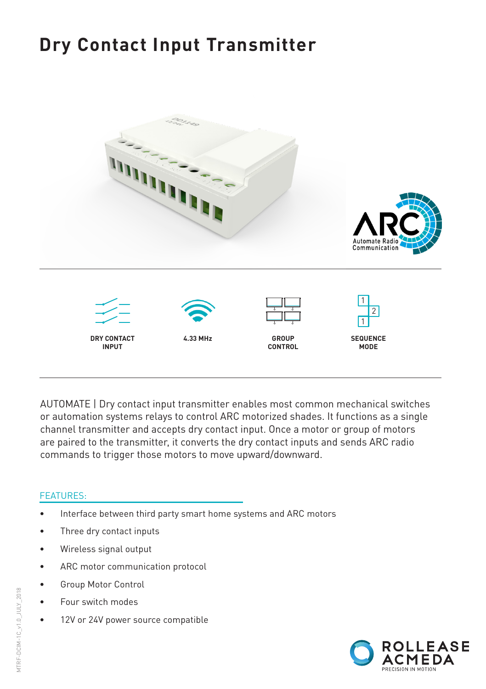# **Dry Contact Input Transmitter**



AUTOMATE | Dry contact input transmitter enables most common mechanical switches or automation systems relays to control ARC motorized shades. It functions as a single channel transmitter and accepts dry contact input. Once a motor or group of motors are paired to the transmitter, it converts the dry contact inputs and sends ARC radio commands to trigger those motors to move upward/downward.

#### FEATURES:

- Interface between third party smart home systems and ARC motors
- Three dry contact inputs
- Wireless signal output
- ARC motor communication protocol
- Group Motor Control
- Four switch modes
- 12V or 24V power source compatible

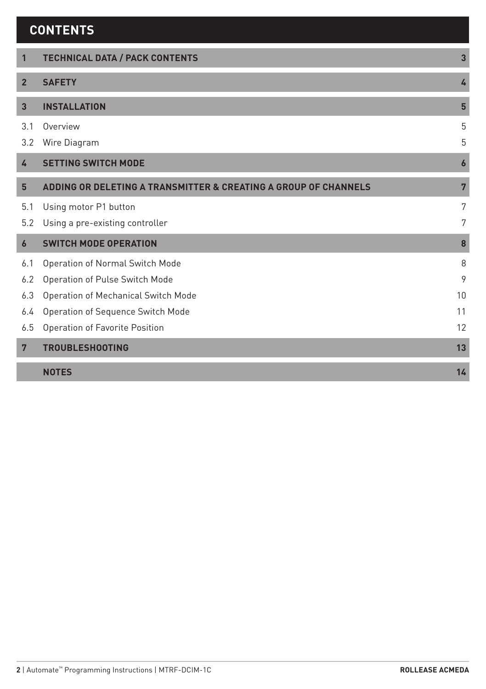| <b>CONTENTS</b> |  |
|-----------------|--|
|                 |  |

| $\mathbf{1}$   | <b>TECHNICAL DATA / PACK CONTENTS</b>                           | $\overline{3}$   |
|----------------|-----------------------------------------------------------------|------------------|
|                |                                                                 |                  |
| $\overline{2}$ | <b>SAFETY</b>                                                   | 4                |
| 3              | <b>INSTALLATION</b>                                             | $5\phantom{.0}$  |
| 3.1            | Overview                                                        | 5                |
| 3.2            | Wire Diagram                                                    | 5                |
| 4              | <b>SETTING SWITCH MODE</b>                                      | $\boldsymbol{6}$ |
| 5              | ADDING OR DELETING A TRANSMITTER & CREATING A GROUP OF CHANNELS | $\overline{7}$   |
| 5.1            | Using motor P1 button                                           | 7                |
| 5.2            | Using a pre-existing controller                                 | 7                |
| 6              | <b>SWITCH MODE OPERATION</b>                                    | 8                |
| 6.1            | Operation of Normal Switch Mode                                 | 8                |
| 6.2            | Operation of Pulse Switch Mode                                  | 9                |
| 6.3            | Operation of Mechanical Switch Mode                             | 10               |
| 6.4            | Operation of Sequence Switch Mode                               | 11               |
| 6.5            | Operation of Favorite Position                                  | 12               |
| $7\phantom{.}$ | <b>TROUBLESHOOTING</b>                                          | 13               |
|                | <b>NOTES</b>                                                    | 14               |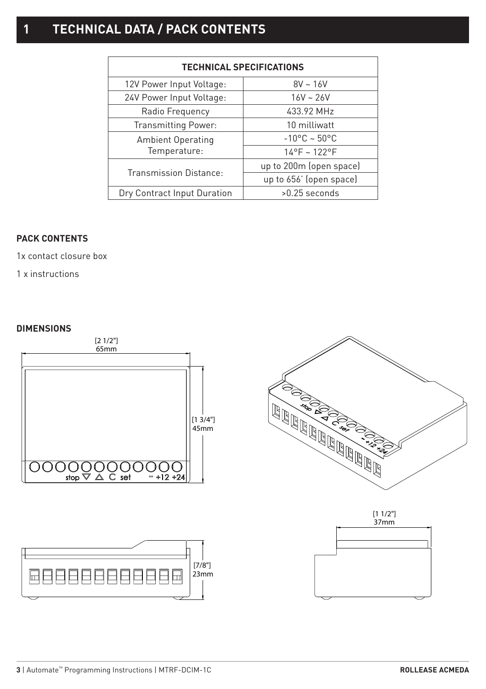# **1 TECHNICAL DATA / PACK CONTENTS**

| <b>TECHNICAL SPECIFICATIONS</b> |                              |  |  |  |
|---------------------------------|------------------------------|--|--|--|
| 12V Power Input Voltage:        | $8V - 16V$                   |  |  |  |
| 24V Power Input Voltage:        | $16V - 26V$                  |  |  |  |
| Radio Frequency                 | 433.92 MHz                   |  |  |  |
| <b>Transmitting Power:</b>      | 10 milliwatt                 |  |  |  |
| <b>Ambient Operating</b>        | $-10^{\circ}$ C ~ 50°C       |  |  |  |
| Temperature:                    | $14^{\circ}F - 122^{\circ}F$ |  |  |  |
| <b>Transmission Distance:</b>   | up to 200m (open space)      |  |  |  |
|                                 | up to 656' (open space)      |  |  |  |
| Dry Contract Input Duration     | $>0.25$ seconds              |  |  |  |

#### **PACK CONTENTS**

1x contact closure box

1 x instructions

#### **DIMENSIONS**

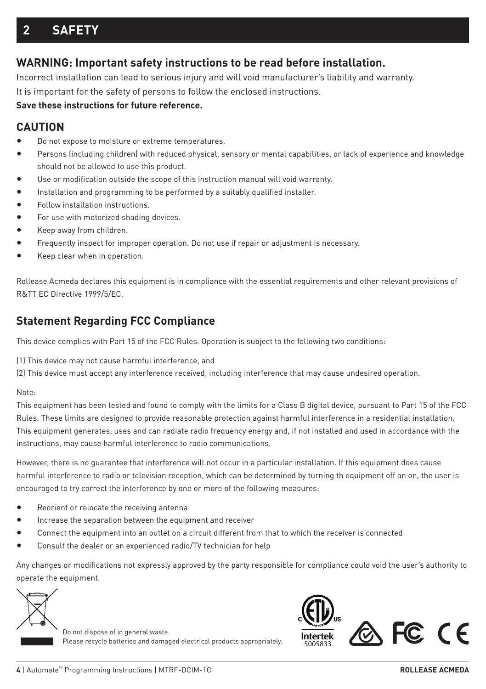## **2 SAFETY**

### **WARNING: Important safety instructions to be read before installation.**

Incorrect installation can lead to serious injury and will void manufacturer's liability and warranty. It is important for the safety of persons to follow the enclosed instructions.

#### **Save these instructions for future reference.**

#### **CAUTION**

- Do not expose to moisture or extreme temperatures.
- Persons (including children) with reduced physical, sensory or mental capabilities, or lack of experience and knowledge should not be allowed to use this product.
- Use or modification outside the scope of this instruction manual will void warranty.
- Installation and programming to be performed by a suitably qualified installer.
- Follow installation instructions.
- For use with motorized shading devices.
- Keep away from children.
- Frequently inspect for improper operation. Do not use if repair or adjustment is necessary.
- Keep clear when in operation.

Rollease Acmeda declares this equipment is in compliance with the essential requirements and other relevant provisions of R&TT EC Directive 1999/5/EC.

### **Statement Regarding FCC Compliance**

This device complies with Part 15 of the FCC Rules. Operation is subject to the following two conditions:

(1) This device may not cause harmful interference, and

(2) This device must accept any interference received, including interference that may cause undesired operation.

#### Note:

This equipment has been tested and found to comply with the limits for a Class B digital device, pursuant to Part 15 of the FCC Rules. These limits are designed to provide reasonable protection against harmful interference in a residential installation. This equipment generates, uses and can radiate radio frequency energy and, if not installed and used in accordance with the instructions, may cause harmful interference to radio communications.

However, there is no guarantee that interference will not occur in a particular installation. If this equipment does cause harmful interference to radio or television reception, which can be determined by turning th equipment off an on, the user is encouraged to try correct the interference by one or more of the following measures:

- Reorient or relocate the receiving antenna
- Increase the separation between the equipment and receiver
- Connect the equipment into an outlet on a circuit different from that to which the receiver is connected
- Consult the dealer or an experienced radio/TV technician for help

Any changes or modifications not expressly approved by the party responsible for compliance could void the user's authority to operate the equipment.

Do not dispose of in general waste. Please recycle batteries and damaged electrical products appropriately.

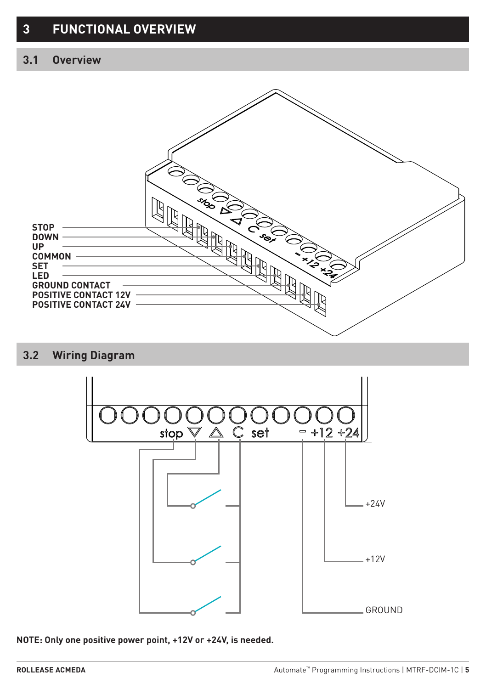## **3.1 Overview**



### **3.2 Wiring Diagram**



**NOTE: Only one positive power point, +12V or +24V, is needed.**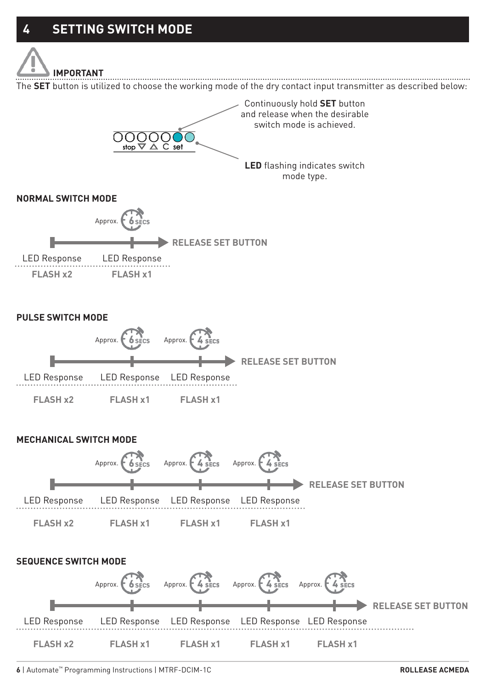

The **SET** button is utilized to choose the working mode of the dry contact input transmitter as described below:

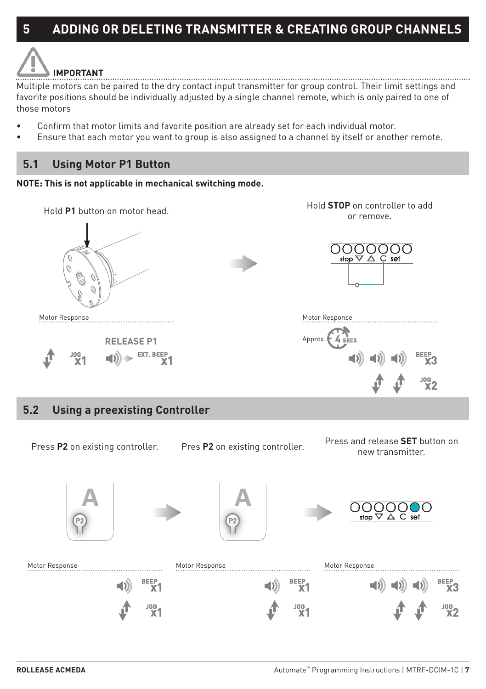# **IMPORTANT**

Multiple motors can be paired to the dry contact input transmitter for group control. Their limit settings and favorite positions should be individually adjusted by a single channel remote, which is only paired to one of those motors

- Confirm that motor limits and favorite position are already set for each individual motor.
- Ensure that each motor you want to group is also assigned to a channel by itself or another remote.

## **5.1 Using Motor P1 Button**





# **Drocc** and rologeo **SET** button on Press **P2** on existing controller. Press **P2** on existing controller. Press and release **SET** button on the result of the controller. Pres P2 on existing controller. ston Motor Response Motor Response Motor Response **BEEP** BEEP<sub>3</sub> ΧĪ. Ϋ1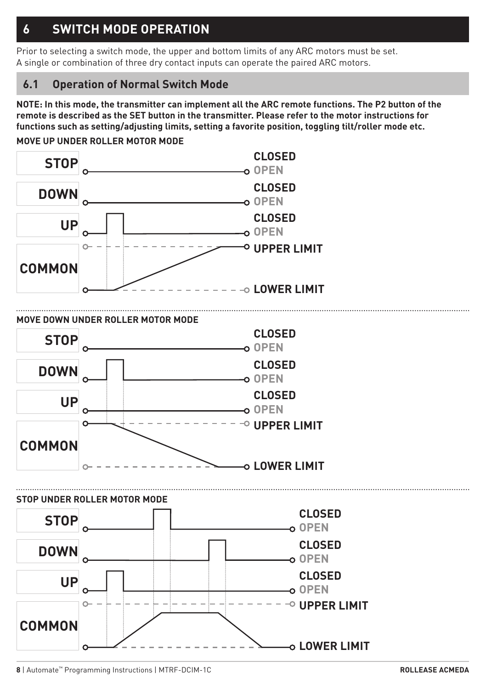# **6 SWITCH MODE OPERATION**

Prior to selecting a switch mode, the upper and bottom limits of any ARC motors must be set. A single or combination of three dry contact inputs can operate the paired ARC motors.

## **6.1 Operation of Normal Switch Mode**

**NOTE: In this mode, the transmitter can implement all the ARC remote functions. The P2 button of the remote is described as the SET button in the transmitter. Please refer to the motor instructions for functions such as setting/adjusting limits, setting a favorite position, toggling tilt/roller mode etc.**

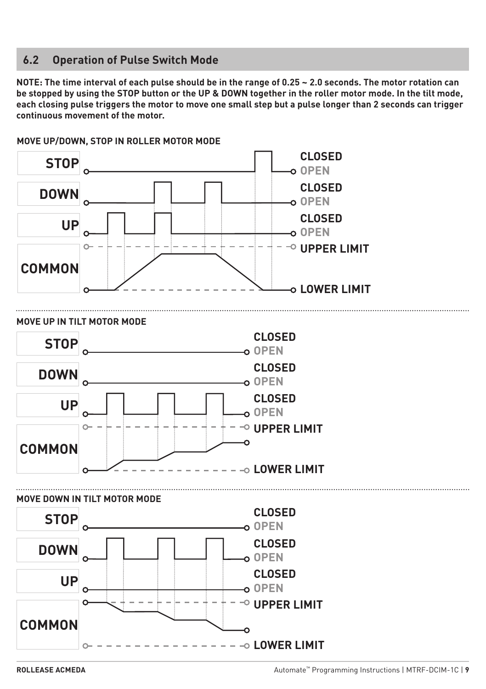### **6.2 Operation of Pulse Switch Mode**

**NOTE: The time interval of each pulse should be in the range of 0.25 ~ 2.0 seconds. The motor rotation can be stopped by using the STOP button or the UP & DOWN together in the roller motor mode. In the tilt mode, each closing pulse triggers the motor to move one small step but a pulse longer than 2 seconds can trigger continuous movement of the motor.**



**MOVE UP/DOWN, STOP IN ROLLER MOTOR MODE**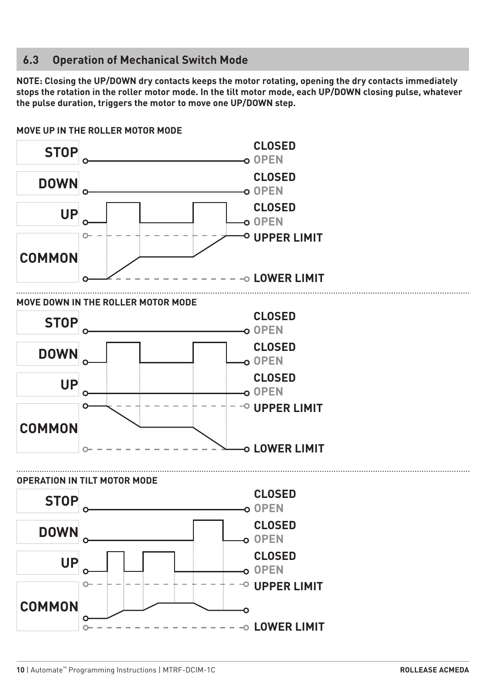#### **6.3 Operation of Mechanical Switch Mode**

**NOTE: Closing the UP/DOWN dry contacts keeps the motor rotating, opening the dry contacts immediately stops the rotation in the roller motor mode. In the tilt motor mode, each UP/DOWN closing pulse, whatever the pulse duration, triggers the motor to move one UP/DOWN step.**

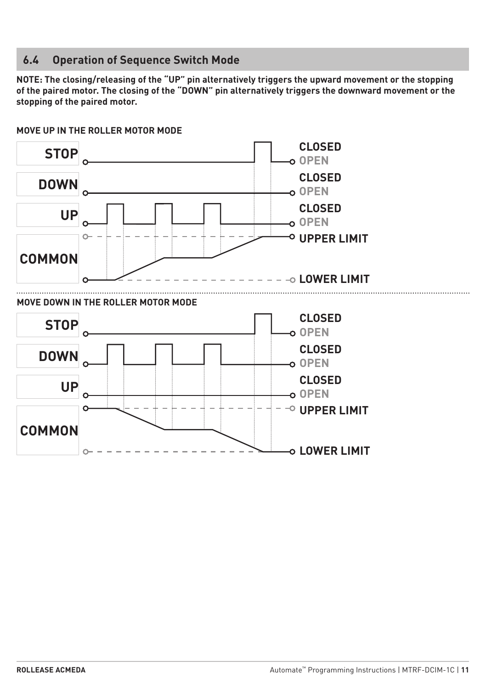## **6.4 Operation of Sequence Switch Mode**

**NOTE: The closing/releasing of the "UP" pin alternatively triggers the upward movement or the stopping of the paired motor. The closing of the "DOWN" pin alternatively triggers the downward movement or the stopping of the paired motor.**

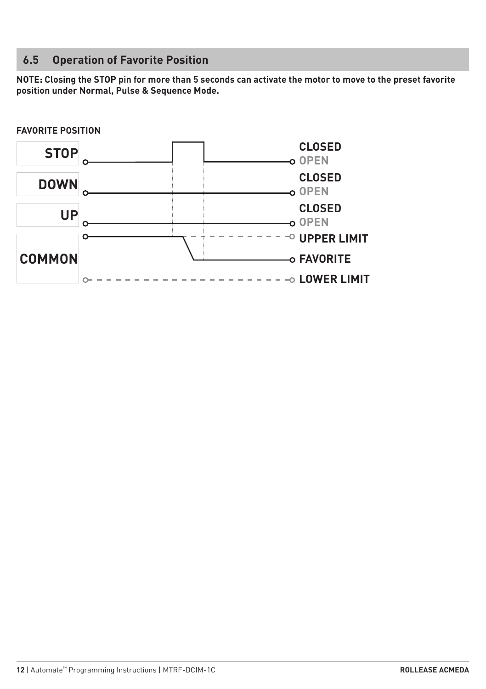## **6.5 Operation of Favorite Position**

**NOTE: Closing the STOP pin for more than 5 seconds can activate the motor to move to the preset favorite position under Normal, Pulse & Sequence Mode.**

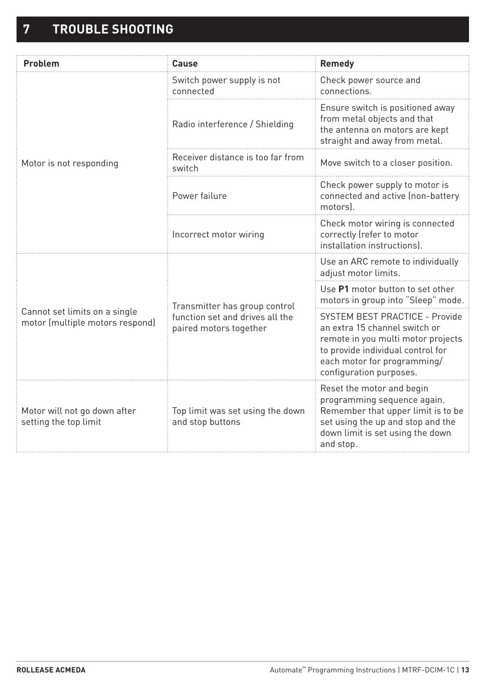| Problem                                                          | Cause                                                                                      | Remedy                                                                                                                                                                                               |
|------------------------------------------------------------------|--------------------------------------------------------------------------------------------|------------------------------------------------------------------------------------------------------------------------------------------------------------------------------------------------------|
| Motor is not responding                                          | Switch power supply is not<br>connected                                                    | Check power source and<br>connections.                                                                                                                                                               |
|                                                                  | Radio interference / Shielding                                                             | Ensure switch is positioned away<br>from metal objects and that<br>the antenna on motors are kept<br>straight and away from metal.                                                                   |
|                                                                  | Receiver distance is too far from<br>switch                                                | Move switch to a closer position.                                                                                                                                                                    |
|                                                                  | Power failure                                                                              | Check power supply to motor is<br>connected and active (non-battery<br>motors).                                                                                                                      |
|                                                                  | Incorrect motor wiring                                                                     | Check motor wiring is connected<br>correctly (refer to motor<br>installation instructions).                                                                                                          |
| Cannot set limits on a single<br>motor (multiple motors respond) | Transmitter has group control<br>function set and drives all the<br>paired motors together | Use an ARC remote to individually<br>adjust motor limits.                                                                                                                                            |
|                                                                  |                                                                                            | Use P1 motor button to set other<br>motors in group into "Sleep" mode.                                                                                                                               |
|                                                                  |                                                                                            | SYSTEM BEST PRACTICE - Provide<br>an extra 15 channel switch or<br>remote in you multi motor projects<br>to provide individual control for<br>each motor for programming/<br>configuration purposes. |
| Motor will not go down after<br>setting the top limit            | Top limit was set using the down<br>and stop buttons                                       | Reset the motor and begin<br>programming sequence again.<br>Remember that upper limit is to be<br>set using the up and stop and the<br>down limit is set using the down<br>and stop.                 |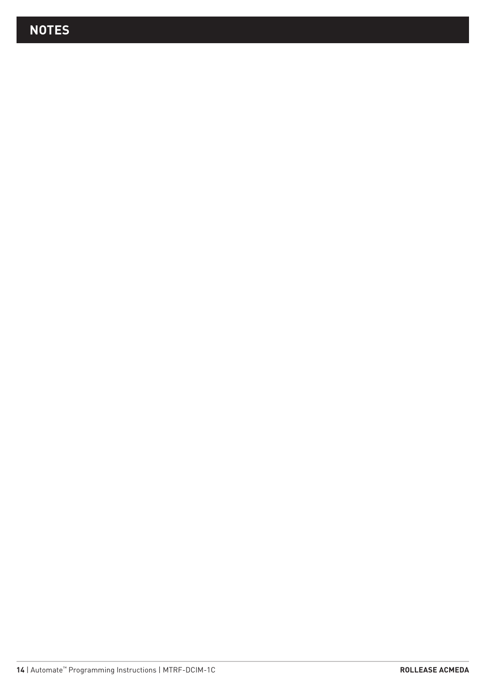# **NOTES**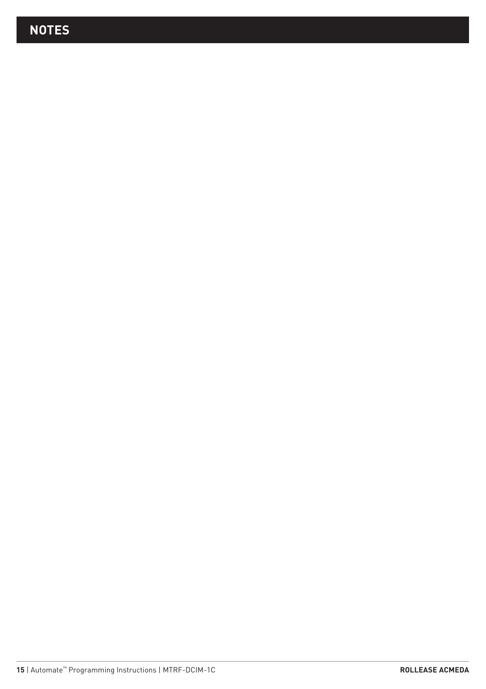# **NOTES**